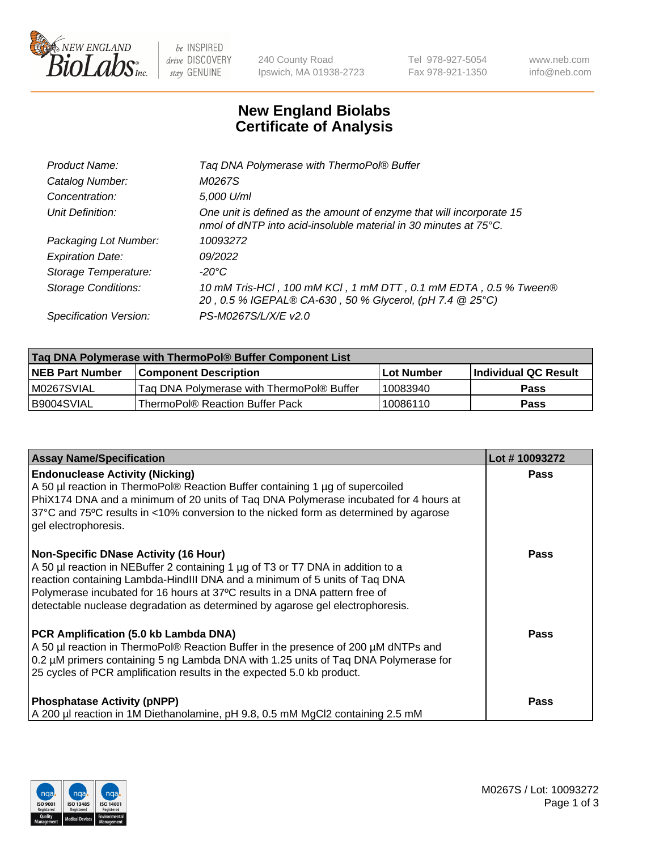

 $be$  INSPIRED drive DISCOVERY stay GENUINE

240 County Road Ipswich, MA 01938-2723 Tel 978-927-5054 Fax 978-921-1350 www.neb.com info@neb.com

## **New England Biolabs Certificate of Analysis**

| Tag DNA Polymerase with ThermoPol® Buffer                                                                                                |
|------------------------------------------------------------------------------------------------------------------------------------------|
| M0267S                                                                                                                                   |
| 5,000 U/ml                                                                                                                               |
| One unit is defined as the amount of enzyme that will incorporate 15<br>nmol of dNTP into acid-insoluble material in 30 minutes at 75°C. |
| 10093272                                                                                                                                 |
| 09/2022                                                                                                                                  |
| $-20^{\circ}$ C                                                                                                                          |
| 10 mM Tris-HCI, 100 mM KCI, 1 mM DTT, 0.1 mM EDTA, 0.5 % Tween®<br>20, 0.5 % IGEPAL® CA-630, 50 % Glycerol, (pH 7.4 @ 25°C)              |
| PS-M0267S/L/X/E v2.0                                                                                                                     |
|                                                                                                                                          |

| ∣Taq DNA Polymerase with ThermoPol® Buffer Component List |                                           |                   |                      |  |  |
|-----------------------------------------------------------|-------------------------------------------|-------------------|----------------------|--|--|
| <b>NEB Part Number</b>                                    | <b>Component Description</b>              | <b>Lot Number</b> | Individual QC Result |  |  |
| M0267SVIAL                                                | Tag DNA Polymerase with ThermoPol® Buffer | 10083940          | Pass                 |  |  |
| B9004SVIAL                                                | ThermoPol® Reaction Buffer Pack           | 10086110          | Pass                 |  |  |

| <b>Assay Name/Specification</b>                                                                                                                                                                                                                                                                                                                                              | Lot #10093272 |
|------------------------------------------------------------------------------------------------------------------------------------------------------------------------------------------------------------------------------------------------------------------------------------------------------------------------------------------------------------------------------|---------------|
| <b>Endonuclease Activity (Nicking)</b><br>A 50 µl reaction in ThermoPol® Reaction Buffer containing 1 µg of supercoiled<br>PhiX174 DNA and a minimum of 20 units of Tag DNA Polymerase incubated for 4 hours at<br>37°C and 75°C results in <10% conversion to the nicked form as determined by agarose<br>gel electrophoresis.                                              | <b>Pass</b>   |
| <b>Non-Specific DNase Activity (16 Hour)</b><br>A 50 µl reaction in NEBuffer 2 containing 1 µg of T3 or T7 DNA in addition to a<br>reaction containing Lambda-HindIII DNA and a minimum of 5 units of Taq DNA<br>Polymerase incubated for 16 hours at 37°C results in a DNA pattern free of<br>detectable nuclease degradation as determined by agarose gel electrophoresis. | Pass          |
| PCR Amplification (5.0 kb Lambda DNA)<br>A 50 µl reaction in ThermoPol® Reaction Buffer in the presence of 200 µM dNTPs and<br>0.2 µM primers containing 5 ng Lambda DNA with 1.25 units of Taq DNA Polymerase for<br>25 cycles of PCR amplification results in the expected 5.0 kb product.                                                                                 | Pass          |
| <b>Phosphatase Activity (pNPP)</b><br>A 200 µl reaction in 1M Diethanolamine, pH 9.8, 0.5 mM MgCl2 containing 2.5 mM                                                                                                                                                                                                                                                         | Pass          |

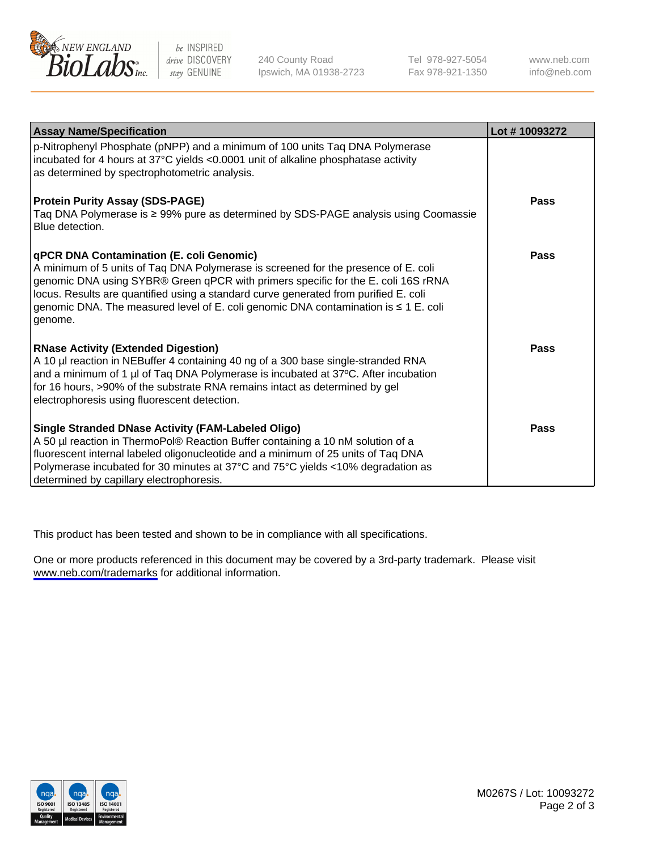

be INSPIRED drive DISCOVERY stay GENUINE

240 County Road Ipswich, MA 01938-2723 Tel 978-927-5054 Fax 978-921-1350

www.neb.com info@neb.com

| <b>Assay Name/Specification</b>                                                                                                                                                                                                                                                                                                                                                                                      | Lot #10093272 |
|----------------------------------------------------------------------------------------------------------------------------------------------------------------------------------------------------------------------------------------------------------------------------------------------------------------------------------------------------------------------------------------------------------------------|---------------|
| p-Nitrophenyl Phosphate (pNPP) and a minimum of 100 units Taq DNA Polymerase<br>incubated for 4 hours at 37°C yields <0.0001 unit of alkaline phosphatase activity<br>as determined by spectrophotometric analysis.                                                                                                                                                                                                  |               |
| <b>Protein Purity Assay (SDS-PAGE)</b><br>Taq DNA Polymerase is ≥ 99% pure as determined by SDS-PAGE analysis using Coomassie<br>Blue detection.                                                                                                                                                                                                                                                                     | Pass          |
| <b>qPCR DNA Contamination (E. coli Genomic)</b><br>A minimum of 5 units of Taq DNA Polymerase is screened for the presence of E. coli<br>genomic DNA using SYBR® Green qPCR with primers specific for the E. coli 16S rRNA<br>locus. Results are quantified using a standard curve generated from purified E. coli<br>genomic DNA. The measured level of E. coli genomic DNA contamination is ≤ 1 E. coli<br>genome. | Pass          |
| <b>RNase Activity (Extended Digestion)</b><br>A 10 µl reaction in NEBuffer 4 containing 40 ng of a 300 base single-stranded RNA<br>and a minimum of 1 µl of Taq DNA Polymerase is incubated at 37°C. After incubation<br>for 16 hours, >90% of the substrate RNA remains intact as determined by gel<br>electrophoresis using fluorescent detection.                                                                 | Pass          |
| <b>Single Stranded DNase Activity (FAM-Labeled Oligo)</b><br>A 50 µl reaction in ThermoPol® Reaction Buffer containing a 10 nM solution of a<br>fluorescent internal labeled oligonucleotide and a minimum of 25 units of Taq DNA<br>Polymerase incubated for 30 minutes at 37°C and 75°C yields <10% degradation as<br>determined by capillary electrophoresis.                                                     | Pass          |

This product has been tested and shown to be in compliance with all specifications.

One or more products referenced in this document may be covered by a 3rd-party trademark. Please visit <www.neb.com/trademarks>for additional information.